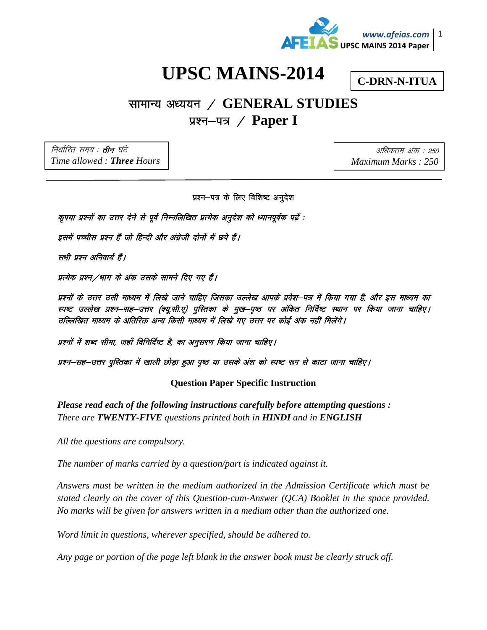

## **UPSC MAINS-2014**

**C-DRN-N-ITUA** 

## सामान्य अध्ययन / GENERAL STUDIES प्रश्न–पत्र / Paper I

निर्धारित समय : **तीन** घंटे Time allowed: Three Hours

अधिकतम अंक : 250 Maximum Marks: 250

प्रश्न-पत्र के लिए विशिष्ट अनुदेश

कृपया प्रश्नों का उत्तर देने से पूर्व निम्नलिखित प्रत्येक अनुदेश को ध्यानपूर्वक पढ़ें :

इसमें पच्चीस प्रश्न हैं जो हिन्दी और अंग्रेजी दोनों में छपे हैं।

सभी प्रश्न अनिवार्य हैं।

प्रत्येक प्रश्न ⁄ भाग के अंक उसके सामने दिए गए हैं।

प्रश्नों के उत्तर उसी माध्यम में लिखे जाने चाहिए जिसका उल्लेख आपके प्रवेश–पत्र में किया गया है, और इस माध्यम का स्पष्ट उल्लेख प्रश्न–सह–उत्तर (क्यू.सी.ए) पुस्तिका के मुख–पृष्ठ पर अंकित निर्दिष्ट स्थान पर किया जाना चाहिए । उल्लिखित माध्यम के अतिरिक्त अन्य किसी माध्यम में लिखे गए उत्तर पर कोई अंक नहीं मिलेंगे।

प्रश्नों में शब्द सीमा, जहाँ विनिर्दिष्ट है, का अनुसरण किया जाना चाहिए।

प्रश्न–सह–उत्तर पुस्तिका में खाली छोड़ा हुआ पृष्ठ या उसके अंश को स्पष्ट रूप से काटा जाना चाहिए।

## **Question Paper Specific Instruction**

Please read each of the following instructions carefully before attempting questions: There are **TWENTY-FIVE** questions printed both in **HINDI** and in **ENGLISH** 

All the questions are compulsory.

The number of marks carried by a question/part is indicated against it.

Answers must be written in the medium authorized in the Admission Certificate which must be stated clearly on the cover of this Question-cum-Answer (QCA) Booklet in the space provided. No marks will be given for answers written in a medium other than the authorized one.

Word limit in questions, wherever specified, should be adhered to.

Any page or portion of the page left blank in the answer book must be clearly struck off.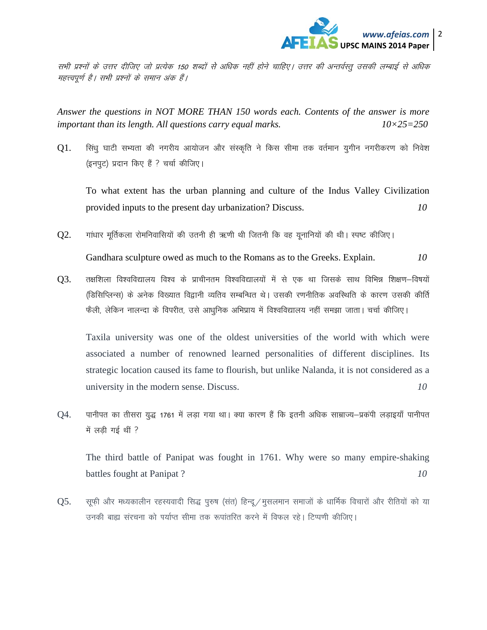

सभी प्रश्नों के उत्तर दीजिए जो प्रत्येक 150 शब्दों से अधिक नहीं होने चाहिए। उत्तर की अन्तर्वस्तू उसकी लम्बाई से अधिक महत्त्वपूर्ण है। सभी प्रश्नों के समान अंक हैं।

*Answer the questions in NOT MORE THAN 150 words each. Contents of the answer is more important than its length. All questions carry equal marks. 10×25=250* 

 $Q1$ . सिंधू घाटी सभ्यता की नगरीय आयोजन और संस्कृति ने किस सीमा तक वर्तमान युगीन नगरीकरण को निवेश (इनपट) प्रदान किए हैं ? चर्चा कीजिए।

To what extent has the urban planning and culture of the Indus Valley Civilization provided inputs to the present day urbanization? Discuss. *10* 

 $Q2.$  गांधार मूर्तिकला रोमनिवासियों की उतनी ही ऋणी थी जितनी कि वह यूनानियों की थी। स्पष्ट कीजिए।

Gandhara sculpture owed as much to the Romans as to the Greeks. Explain. *10* 

 $Q3$ . तक्षशिला विश्वविद्यालय विश्व के प्राचीनतम विश्वविद्यालयों में से एक था जिसके साथ विभिन्न शिक्षण–विषयों (डिसिप्लिन्स) के अनेक विख्यात विद्वानी व्यतिव सम्बन्धित थे। उसकी रणनीतिक अवस्थिति के कारण उसकी कीर्ति फैली, लेकिन नालन्दा के विपरीत, उसे आधुनिक अभिप्राय में विश्वविद्यालय नहीं समझा जाता। चर्चा कीजिए।

Taxila university was one of the oldest universities of the world with which were associated a number of renowned learned personalities of different disciplines. Its strategic location caused its fame to flourish, but unlike Nalanda, it is not considered as a university in the modern sense. Discuss. *10* 

Q4. पानीपत का तीसरा युद्ध 1761 में लड़ा गया था। क्या कारण हैं कि इतनी अधिक साम्राज्य-प्रकंपी लड़ाइयाँ पानीपत में लड़ी गई थीं ?

The third battle of Panipat was fought in 1761. Why were so many empire-shaking battles fought at Panipat ? *10* 

 $Q5.$  सूफ़ी और मध्यकालीन रहस्यवादी सिद्ध पुरुष (संत) हिन्दू / मुसलमान समाजों के धार्मिक विचारों और रीतियों को या उनकी बाह्य संरचना को पर्याप्त सीमा तक रूपांतरित करने में विफल रहे। टिप्पणी कीजिए।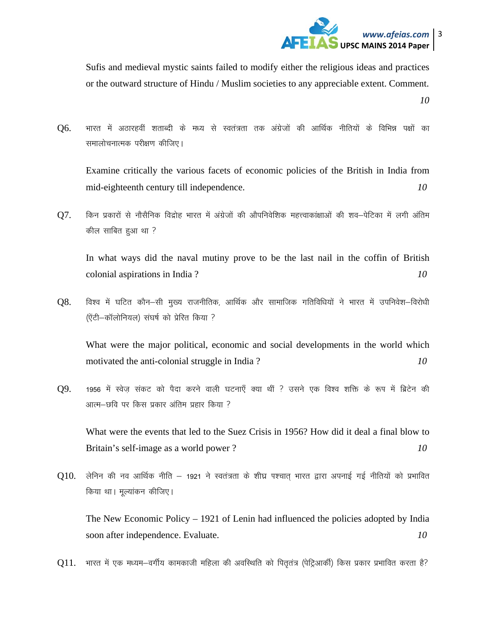

Sufis and medieval mystic saints failed to modify either the religious ideas and practices or the outward structure of Hindu / Muslim societies to any appreciable extent. Comment. 10

भारत में अठारहवीं शताब्दी के मध्य से स्वतंत्रता तक अंग्रेजों की आर्थिक नीतियों के विभिन्न पक्षों का Q6. समालोचनात्मक परीक्षण कीजिए।

Examine critically the various facets of economic policies of the British in India from 10 mid-eighteenth century till independence.

Q7. किन प्रकारों से नौसैनिक विद्रोह भारत में अंग्रेजों की औपनिवेशिक महत्त्वाकांक्षाओं की शव—पेटिका में लगी अंतिम कील साबित हुआ था ?

In what ways did the naval mutiny prove to be the last nail in the coffin of British colonial aspirations in India? 10

O8. विश्व में घटित कौन–सी मुख्य राजनीतिक, आर्थिक और सामाजिक गतिविधियों ने भारत में उपनिवेश–विरोधी (ऐंटी-कॉलोनियल) संघर्ष को प्रेरित किया ?

What were the major political, economic and social developments in the world which motivated the anti-colonial struggle in India?  $10<sup>10</sup>$ 

Q9. 1956 में स्वेज संकट को पैदा करने वाली घटनाएँ क्या थीं ? उसने एक विश्व शक्ति के रूप में ब्रिटेन की आत्म–छवि पर किस प्रकार अंतिम प्रहार किया ?

What were the events that led to the Suez Crisis in 1956? How did it deal a final blow to Britain's self-image as a world power?  $10<sup>°</sup>$ 

 $Q10$ . लेनिन की नव आर्थिक नीति – 1921 ने स्वतंत्रता के शीघ्र पश्चात् भारत द्वारा अपनाई गई नीतियों को प्रभावित किया था। मुल्यांकन कीजिए।

The New Economic Policy  $-1921$  of Lenin had influenced the policies adopted by India soon after independence. Evaluate.  $10<sup>°</sup>$ 

Q11. भारत में एक मध्यम–वर्गीय कामकाजी महिला की अवस्थिति को पितृतंत्र (पेट्रिआर्की) किस प्रकार प्रभावित करता है?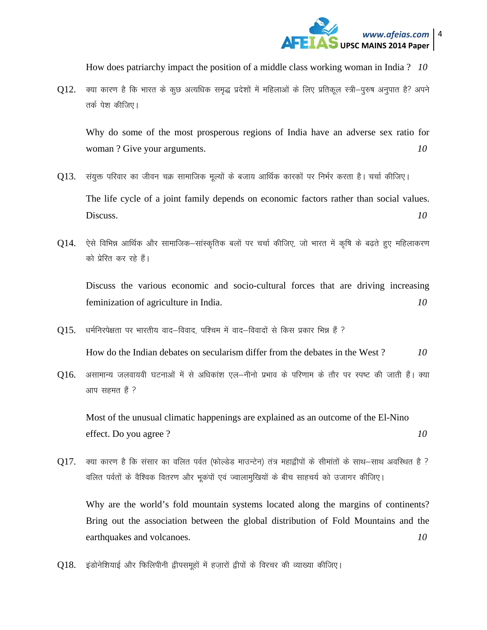

How does patriarchy impact the position of a middle class working woman in India ? *10* 

 $012.$  क्या कारण है कि भारत के कुछ अत्यधिक समुद्ध प्रदेशों में महिलाओं के लिए प्रतिकल स्त्री-पुरुष अनुपात है? अपने तर्क पेश कीजिए।

 Why do some of the most prosperous regions of India have an adverse sex ratio for woman ? Give your arguments. *10* 

- Q13. संयुक्त परिवार का जीवन चक्र सामाजिक मूल्यों के बजाय आर्थिक कारकों पर निर्भर करता है। चर्चा कीजिए। The life cycle of a joint family depends on economic factors rather than social values. Discuss. *10*
- $Q14$ . ऐसे विभिन्न आर्थिक और सामाजिक–सांस्कृतिक बलों पर चर्चा कीजिए, जो भारत में कृषि के बढ़ते हुए महिलाकरण को प्रेरित कर रहे हैं।

 Discuss the various economic and socio-cultural forces that are driving increasing feminization of agriculture in India. *10* 

 $015.$  धर्मनिरपेक्षता पर भारतीय वाद–विवाद, पश्चिम में वाद–विवादों से किस प्रकार भिन्न हैं ?

How do the Indian debates on secularism differ from the debates in the West ? *10* 

 $Q16$ . असामान्य जलवायवी घटनाओं में से अधिकांश एल-नीनो प्रभाव के परिणाम के तौर पर स्पष्ट की जाती हैं। क्या आप सहमत है ?

Most of the unusual climatic happenings are explained as an outcome of the El-Nino effect. Do you agree? *10* 

 $Q17.$  क्या कारण है कि संसार का वलित पर्वत (फोल्डेड माउन्टेन) तंत्र महाद्वीपों के सीमांतों के साथ-साथ अवस्थित है ? वलित पर्वतों के वैश्विक वितरण और भूकंपों एवं ज्वालामुखियों के बीच साहचर्य को उजागर कीजिए।

Why are the world's fold mountain systems located along the margins of continents? Bring out the association between the global distribution of Fold Mountains and the earthquakes and volcanoes. *10* 

 $Q18.$  इंडोनेशियाई और फिलिपीनी ट्वीपसमूहों में हजारों ट्वीपों के विरचर की व्याख्या कीजिए।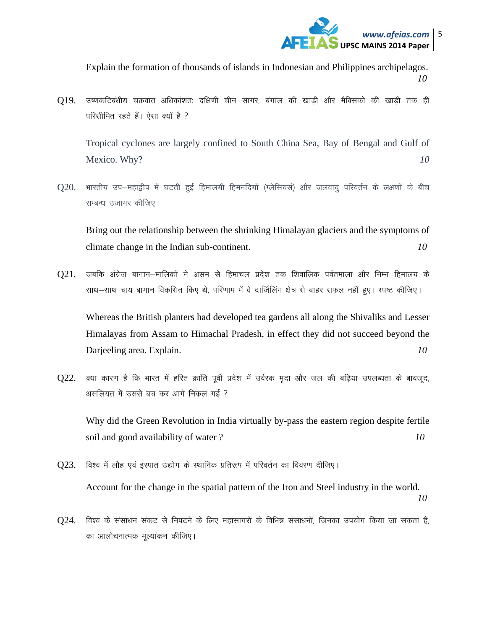

Explain the formation of thousands of islands in Indonesian and Philippines archipelagos. *10* 

 $Q19$ . उष्णकटिबंधीय चक्रवात अधिकांशतः दक्षिणी चीन सागर, बंगाल की खाड़ी और मैक्सिको की खाड़ी तक ही परिसीमित रहते हैं। ऐसा क्यों है ?

Tropical cyclones are largely confined to South China Sea, Bay of Bengal and Gulf of Mexico. Why? *10* 

 $Q20$ . भारतीय उप-महाद्वीप में घटती हुई हिमालयी हिमनदियों (ग्लेसियर्स) और जलवायु परिवर्तन के लक्षणों के बीच सम्बन्ध उजागर कीजिए।

Bring out the relationship between the shrinking Himalayan glaciers and the symptoms of climate change in the Indian sub-continent. *10* 

 $O21.$  जबकि अंग्रेज बागान–मालिकों ने असम से हिमाचल प्रदेश तक शिवालिक पर्वतमाला और निम्न हिमालय के साथ-साथ चाय बागान विकसित किए थे, परिणाम में वे दार्जिलिंग क्षेत्र से बाहर सफल नहीं हुए। स्पष्ट कीजिए।

Whereas the British planters had developed tea gardens all along the Shivaliks and Lesser Himalayas from Assam to Himachal Pradesh, in effect they did not succeed beyond the Darjeeling area. Explain. *10* 

 $Q22$ . क्या कारण है कि भारत में हरित क्रांति पूर्वी प्रदेश में उर्वरक मृदा और जल की बढ़िया उपलब्धता के बावजूद, असलियत में उससे बच कर आगे निकल गई ?

Why did the Green Revolution in India virtually by-pass the eastern region despite fertile soil and good availability of water ? *10* 

- $Q23$ . विश्व में लौह एवं इस्पात उद्योग के स्थानिक प्रतिरूप में परिवर्तन का विवरण दीजिए। Account for the change in the spatial pattern of the Iron and Steel industry in the world. *10*
- $Q24$ . विश्व के संसाधन संकट से निपटने के लिए महासागरों के विभिन्न संसाधनों, जिनका उपयोग किया जा सकता है, का आलोचनात्मक मूल्यांकन कीजिए।